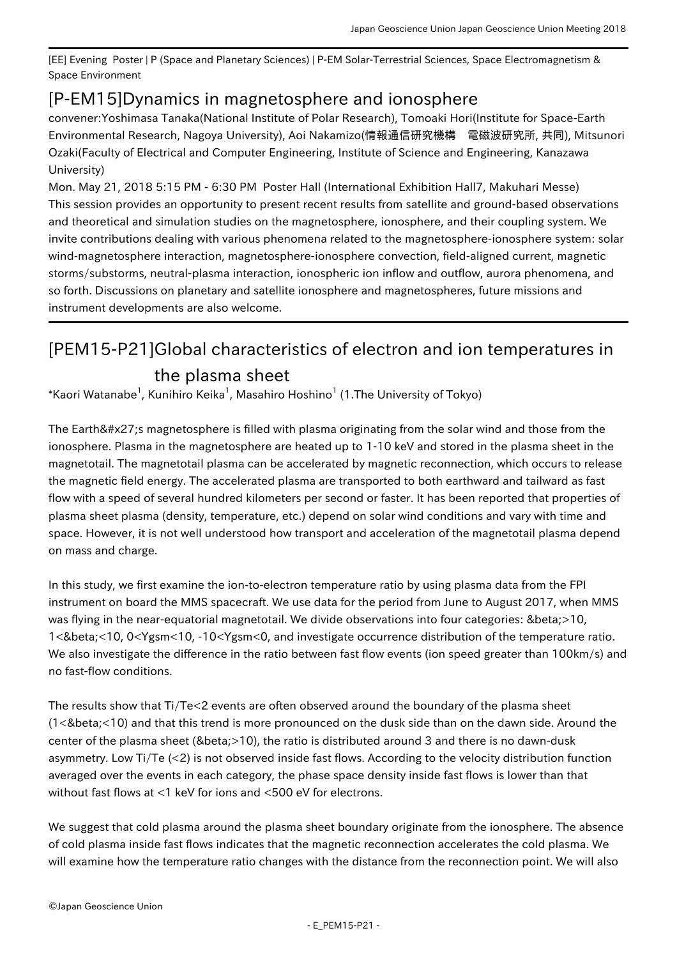[EE] Evening Poster | P (Space and Planetary Sciences) | P-EM Solar-Terrestrial Sciences, Space Electromagnetism & Space Environment

## [P-EM15] Dynamics in magnetosphere and ionosphere

convener:Yoshimasa Tanaka(National Institute of Polar Research), Tomoaki Hori(Institute for Space-Earth Environmental Research, Nagoya University), Aoi Nakamizo(情報通信研究機構 電磁波研究所, 共同), Mitsunori Ozaki(Faculty of Electrical and Computer Engineering, Institute of Science and Engineering, Kanazawa University)

Mon. May 21, 2018 5:15 PM - 6:30 PM Poster Hall (International Exhibition Hall7, Makuhari Messe) This session provides an opportunity to present recent results from satellite and ground-based observations and theoretical and simulation studies on the magnetosphere, ionosphere, and their coupling system. We invite contributions dealing with various phenomena related to the magnetosphere-ionosphere system: solar wind-magnetosphere interaction, magnetosphere-ionosphere convection, field-aligned current, magnetic storms/substorms, neutral-plasma interaction, ionospheric ion inflow and outflow, aurora phenomena, and so forth. Discussions on planetary and satellite ionosphere and magnetospheres, future missions and instrument developments are also welcome.

## [PEM15-P21] Global characteristics of electron and ion temperatures in the plasma sheet

 $^\ast$ Kaori Watanabe $^1$ , Kunihiro Keika $^1$ , Masahiro Hoshino $^1$  (1.The University of Tokyo)

The Earth's magnetosphere is filled with plasma originating from the solar wind and those from the ionosphere. Plasma in the magnetosphere are heated up to 1-10 keV and stored in the plasma sheet in the magnetotail. The magnetotail plasma can be accelerated by magnetic reconnection, which occurs to release the magnetic field energy. The accelerated plasma are transported to both earthward and tailward as fast flow with a speed of several hundred kilometers per second or faster. It has been reported that properties of plasma sheet plasma (density, temperature, etc.) depend on solar wind conditions and vary with time and space. However, it is not well understood how transport and acceleration of the magnetotail plasma depend on mass and charge.

In this study, we first examine the ion-to-electron temperature ratio by using plasma data from the FPI instrument on board the MMS spacecraft. We use data for the period from June to August 2017, when MMS was flying in the near-equatorial magnetotail. We divide observations into four categories: β>10, 1<&beta;<10, 0<Ygsm<10, -10<Ygsm<0, and investigate occurrence distribution of the temperature ratio. We also investigate the difference in the ratio between fast flow events (ion speed greater than 100km/s) and no fast-flow conditions.

The results show that Ti/Te<2 events are often observed around the boundary of the plasma sheet (1<&beta;<10) and that this trend is more pronounced on the dusk side than on the dawn side. Around the center of the plasma sheet (β>10), the ratio is distributed around 3 and there is no dawn-dusk asymmetry. Low Ti/Te (<2) is not observed inside fast flows. According to the velocity distribution function averaged over the events in each category, the phase space density inside fast flows is lower than that without fast flows at <1 keV for ions and <500 eV for electrons.

We suggest that cold plasma around the plasma sheet boundary originate from the ionosphere. The absence of cold plasma inside fast flows indicates that the magnetic reconnection accelerates the cold plasma. We will examine how the temperature ratio changes with the distance from the reconnection point. We will also